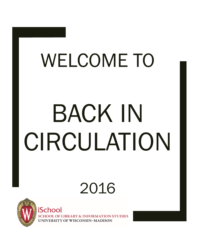# WELCOME TO BACK IN CIRCULATION

# 2016



iSchoo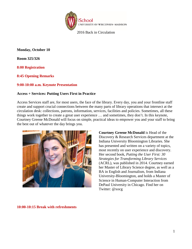

**Monday, October 10**

**Room 325/326**

**8:00 Registration** 

**8:45 Opening Remarks** 

# **9:00-10:00 a.m. Keynote Presentation**

#### **Access + Services: Putting Users First in Practice**

Access Services staff are, for most users, the face of the library. Every day, you and your frontline staff create and support crucial connections between the many parts of library operations that intersect at the circulation desk: collections, patrons, information, services, facilities and policies. Sometimes, all these things work together to create a great user experience … and sometimes, they don't. In this keynote, Courtney Greene McDonald will focus on simple, practical ideas to empower you and your staff to bring the best out of whatever the day brings you.



**Courtney Greene McDonald** is Head of the Discovery & Research Services department at the Indiana University Bloomington Libraries. She has presented and written on a variety of topics, most recently on user experience and discovery. Her second book, *Putting the User First: 30 Strategies for Transforming Library Services* (ACRL), was published in 2014. Courtney earned her Master of Library Science degree, as well as a BA in English and Journalism, from Indiana University-Bloomington, and holds a Master of Science in Human-Computer Interaction from DePaul University in Chicago. Find her on Twitter: @xocg

**10:00-10:15 Break with refreshments**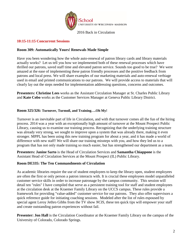

# **10:15-11:15 Concurrent Sessions**

# **Room 309: Automatically Yours! Renewals Made Simple**

Have you been wondering how the whole auto-renewal of patron library cards and library materials actually works? Let us tell you how we implemented both of these renewal processes which have thrilled our patrons, saved staff time and elevated patron service. Sounds too good to be true? We were amazed at the ease of implementing these patron friendly processes and the positive feedback from patrons and local press. We will share examples of our marketing materials and auto-renewal verbiage used in email and printed communications to our patrons. We will provide access to materials that will clearly lay out the steps needed for implementation addressing questions, concerns and outcomes.

**Presenters: Christine Lees** works as the Assistant Circulation Manager at St. Charles Public Library and **Kate Cobo** works as the Customer Services Manager at Geneva Public Library District.

# **Room 325/326: Turnover, Turmoil, and Training….Oh My!**

Turnover is an inevitable part of life in Circulation, and with that turnover comes all the fun of the hiring process. 2014 was a year with an exceptionally high amount of turnover at the Mount Prospect Public Library, causing us to examine our training process. Recognizing that the underlying training structure was already very strong, we sought to improve upon a system that was already there, making it even stronger. MPPL has been using this new training program for about a year, and it has made a world of difference with new staff! We will share our training missteps with you, and how they led us to a program that has not only made training so much easier, but has strengthened our department as a team.

**Presenters: Janine Sarto** is the Head of Circulation Services and **Samantha Chiappone** is the Assistant Head of Circulation Services at the Mount Prospect (IL) Public Library.

# **Room DE335: The Ten Commandments of Circulation**

As academic libraries require the use of student employees to keep the library open, student employees are often the first or only person a patron interacts with. It is crucial these employees model unparalleled customer service skills in order to increase patronage by the campus community. This session will detail ten "rules" I have compiled that serve as a persistent training tool for staff and student employees at the circulation desk at the Kraemer Family Library on the UCCS campus. These rules provide a framework for providing "value-added" customer service for our patrons. They also offer supervisors a quick reference guide for initiating coaching sessions. Modeled after the list of rules espoused by special agent Leroy Jethro Gibbs from the TV show *NCIS*, these ten quick tips will empower your staff and create outstanding patron experiences without fail.

**Presenter: Jon Hall** is the Circulation Coordinator at the Kraemer Family Library on the campus of the University of Colorado, Colorado Springs.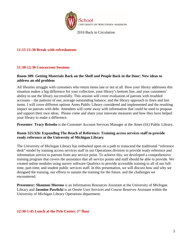

# **11:15-11:30 Break with refreshments**

# **11:30-12:30 Concurrent Sessions**

# **Room 309: Getting Materials Back on the Shelf and People Back in the Door: New ideas to address an old problem**

All libraries struggle with customers who return items late or not at all. How your library addresses this situation makes a big difference for your collection, your library's bottom line, and your customers' ability to use the library successfully. This session will cover evaluation of patrons with troubled accounts – the patterns of use, average outstanding balance, and the library approach to fines and lost items. I will cover different options Ames Public Library considered and implemented and the resulting impact on patrons with debt. Attendees will come away with information that could be used to propose and support their own ideas. Please come and share your innovate measures and how they have helped your library to make a difference.

**Presenter**: **Tracy Briseño** is the Customer Account Services Manager at the Ames (IA) Public Library.

# **Room 325/326: Expanding The Reach of Reference: Training access services staff to provide ready reference at the University of Michigan Library**

The University of Michigan Library has embarked upon on a path to transcend the traditional "reference desk" model by training access services staff in our Operations division to provide ready reference and information service to patrons from any service point. To achieve this, we developed a comprehensive training program that covers the assistance that all service points and staff should be able to provide. We created online modules using survey software Qualtrics to provide accessible training to all of our fulltime, part-time, and student public services staff. In this presentation, we will discuss how and why we designed the training, our efforts to sustain the training for the future, and the challenges we encountered.

**Presentesr: Shannon Moreno** is an Information Resources Assistant at the University of Michigan Library and **Jasmine Pawlicki** is an Onsite User Services and Course Reserves Assistant within the University of Michigan Library Operations department.

**12:30-1:45 Lunch at the Pyle Center, 1st floor**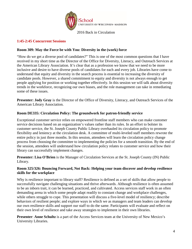

# **1:45-2:45 Concurrent Sessions**

# **Room 309: May the Force be with You: Diversity in the (work) force**

"How do we get a diverse pool of candidates?" This is one of the most common questions that I have received in my short time as the Director of the Office for Diversity, Literacy, and Outreach Services at the American Library Association. It's clear that as a profession we know that we need to be more inclusive and desire to have diverse pools of candidates for each and every job. Libraries have come to understand that equity and diversity in the search process is essential to increasing the diversity of candidate pools. However, a shared commitment to equity and diversity is not always enough to get people applying for position or working together effectively. In this session we will talk about diversity trends in the workforce, recognizing our own biases, and the role management can take in remediating some of these issues.

**Presenter: Jody Gray** is the Director of the Office of Diversity, Literacy, and Outreach Services of the American Library Association.

# **Room DE335: Circulation Policy: The groundwork for patron-friendly service**

Exceptional customer service relies on empowered frontline staff members who can make customer service decisions based on an organization's values rather than its rules. In an effort to bolster its customer service, the St. Joseph County Public Library overhauled its circulation policy to promote flexibility and leniency at the circulation desk. A committee of multi-leveled staff members rewrote the entire policy in just three months. In this session, attendees will learn the circulation policy change process from choosing the committee to implementing the policies for a smooth transition. By the end of the session, attendees will understand how circulation policy relates to customer service and how their library can successfully implement changes.

**Presenter: Lisa O'Brien** is the Manager of Circulation Services at the St. Joseph County (IN) Public Library.

# **Room 325/326: Bouncing Forward, Not Back: Helping your team discover and develop resilience skills for the workplace**

Why is resilience important to library staff? Resilience is defined as a set of skills that allow people to successfully navigate challenging situations and thrive afterwards. Although resilience is often assumed to be an inborn trait, it can be learned, practiced, and cultivated. Access services staff work in an often demanding arena in which some people adapt readily to constant change and workplace challenges, while others struggle to cope. This presentation will discuss a five-level model of resiliency; describe behaviors of resilient people; and explore ways in which we as managers and team leaders can develop our own resilience skills and support our staff to do the same. Participants will evaluate and reflect on their own level of resilience and take away strategies to implement in their own libraries.

**Presenter**: **Anne Schultz** is a part of the Access Services team at the University of New Mexico's University Libraries.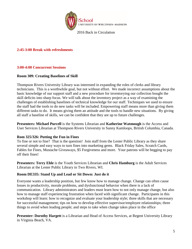

**2:45-3:00 Break with refreshments**

# **3:00-4:00 Concurrent Sessions**

# **Room 309: Creating Baselines of Skill**

Thompson Rivers University Library was interested in expanding the roles of clerks and library technicians. This is a worthwhile goal, but not without effort. We made incorrect assumptions about the basic knowledge of our support staff and a new procedure for inventorying our collection bought the skill deficits into sharp focus. We will talk about the inventory project as a way of examining the challenges of establishing baselines of technical knowledge for our staff. Techniques we used to ensure the staff had the tools to do new tasks will be included. Empowering staff means more than giving them different tasks to do. It means giving them an attitude and the tools to handle new situations. By giving all staff a baseline of skills, we can be confident that they are up to future challenges.

**Presenters: Michael Purcell** is the Systems Librarian and **Katherine Watmough** is the Access and User Services Librarian at Thompson Rivers University in Sunny Kamloops, British Columbia, Canada.

# **Rom 325/326: Putting the Fun in Fines**

To fine or not to fine? That is the question! Join staff from the Lester Public Library as they share several simple and easy ways to turn fines into marketing gems. Black Friday Sales, Scratch Cards, Fables for Fines, Mustache Giveaways, \$5 Forgiveness and more. Your patrons will be begging to pay off their fines!

**Presenters: Terry Ehle** is the Youth Services Librarian and **Chris Hamburg** is the Adult Services Librarian at the Lester Public Library in Two Rivers, WI.

# **Room DE335: Stand Up and Lead or Sit Down: Just do it**

Everyone wants a leadership position, but few know how to manage change. Change can often cause losses in productivity, morale problems, and dysfunctional behavior when there is a lack of communication. Library administrators and leaders must learn how to not only manage change, but also how to manage staff experiencing frustration when faced with significant change. Participants in this workshop will learn: how to recognize and evaluate your leadership style; three skills that are necessary for successful management; tips on how to develop effective supervisor/employee relationships; three things to avoid when leading people; and steps to take when change takes place in the office

**Presenter: Dorothy Hargett** is a Librarian and Head of Access Services, at Regent University Library in Virginia Beach, VA.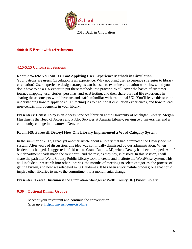

# **4:00-4:15 Break with refreshments**

# **4:15-5:15 Concurrent Sessions**

# **Room 325/326: You can UX Too! Applying User Experience Methods in Circulation**

Your patrons are users. Circulation is an experience. Why not bring user experience strategies to library circulation? User experience design strategies can be used to examine circulation workflows, and you don't have to be a UX expert to put these methods into practice. We'll cover the basics of customer journey mapping, user stories, personas, and A/B testing, and then share our real life experience in sharing these concepts with librarians and staff unfamiliar with traditional UX. You'll leave this session understanding how to apply basic UX techniques to traditional circulation experiences, and how to lead user-centric improvements in your library.

**Presenters**: **Denise Foley** is an Access Services librarian at the University of Michigan Library. **Megan Hartline** is the Head of Access and Public Services at Auraria Library, serving two universities and a community college in downtown Denver.

# **Room 309: Farewell, Dewey! How One Library Implemented a Word Category System**

In the summer of 2013, I read yet another article about a library that had eliminated the Dewey decimal system. After years of discussion, this idea was continually dismissed by our administration. When leadership changed, I suggested a field trip to Grand Rapids, MI, where Dewey had been dropped. All of our department heads made the trek north, and the rest, as they say, is history. In this session, I will share the path that Wells County Public Library took to create and institute the WordWise system. This will include our research into other libraries, the months of meetings to select categories, the process of getting buy-in, and how we relabeled 42,000 volumes. It has been a worthwhile process; one that could inspire other libraries to make the commitment to a monumental change.

**Presenter: Teresa Dustman** is the Circulation Manager at Wells County (IN) Public Library.

# **6:30 Optional Dinner Groups**

Meet at your restaurant and continue the conversation Sign up at **<http://tinyurl.com/circdine>**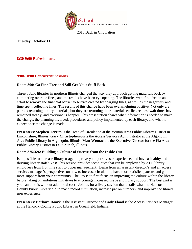

**Tuesday, October 11**

# **8:30-9:00 Refreshments**

# **9:00-10:00 Concurrent Sessions**

# **Room 309: Go Fine-Free and Still Get Your Stuff Back**

Three public libraries in northern Illinois changed the way they approach getting materials back by eliminating overdue fines, and the results have been eye opening. The libraries went fine-free in an effort to remove the financial barrier to service created by charging fines, as well as the negativity and time spent collecting fines. The results of this change have been overwhelming positive. Not only are patrons returning library materials, but they are returning their materials earlier, request wait times have remained steady, and everyone is happier. This presentation shares what information is needed to make the change, the planning involved, procedures and policy implemented by each library, and what to expect once the change is made.

**Presenters: Stephen Territo** is the Head of Circulation at the Vernon Area Public Library District in Lincolnshire, Illinois**. Gary Christopherson** is the Access Services Administrator at the Algonquin Area Public Library in Algonquin, Illinois. **Matt Womack** is the Executive Director for the Ela Area Public Library District in Lake Zurich, Illinois.

# **Room 325/326: Building a Culture of Success from the Inside Out**

Is it possible to increase library usage, improve your patron/user experience, and have a healthy and thriving library staff? Yes! This session provides techniques that can be employed by ALL library employees from frontline staff to upper management. Learn from an assistant director's and an access services manager's perspectives on how to increase circulation, have more satisfied patrons and gain more support from your community. The key is to first focus on improving the culture within the library before taking on ambitious initiatives to encourage increased usage and library support. The best part is you can do this without additional cost! Join us for a lively session that details what the Hancock County Public Library did to reach record circulation, increase patron numbers, and improve the library user experience.

**Presenters: Barbara Roark** is the Assistant Director and **Cody Flood** is the Access Services Manager at the Hancock County Public Library in Greenfield, Indiana.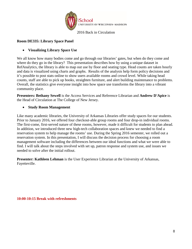

# **Room DE335: Library Space Panel**

# • **Visualizing Library Space Use**

We all know how many bodies come and go through our libraries' gates, but when do they come and where do they go in the library? This presentation describes how by using a unique dataset in RefAnalytics, the library is able to map out use by floor and seating type. Head counts are taken hourly and data is visualized using charts and graphs. Results of the analysis help form policy decisions and it's possible to post stats online to show users available rooms and crowd level. While taking head counts, staff are able to pick up books, straighten furniture, and alert building maintenance to problems. Overall, the statistics give everyone insight into how space use transforms the library into a vibrant community place.

**Presenters: Bethany Sewell** is the Access Services and Reference Librarian and **Andrew D'Apice** is the Head of Circulation at The College of New Jersey.

# • **Study Room Management**

Like many academic libraries, the University of Arkansas Libraries offer study spaces for our students. Prior to January 2016, we offered four checkout-able group rooms and four drop-in individual rooms. The first-come, first-served nature of these rooms, however, made it difficult for students to plan ahead. In addition, we introduced three new high-tech collaboration spaces and knew we needed to find a reservation system to help manage the rooms' use. During the Spring 2016 semester, we rolled out a reservation system. In this presentation, I will discuss the decision process for choosing a room management software including the differences between our ideal functions and what we were able to find. I will talk about the steps involved with set up, patron response and system use, and issues we needed to solve after the initial rollout.

**Presenter: Kathleen Lehman** is the User Experience Librarian at the University of Arkansas, Fayetteville.

**10:00-10:15 Break with refreshments**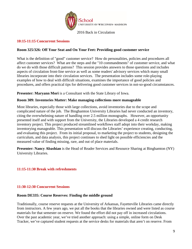

#### **10:15-11:15 Concurrent Sessions**

#### **Room 325/326: Off Your Seat and On Your Feet: Providing good customer service**

What is the definition of "good" customer service? How do personalities, policies and procedures all affect customer services? What are the steps and the "10 commandments" of customer service, and what do we do with those difficult patrons? This session provides answers to those questions and includes aspects of circulation front-line service as well as some readers' advisory services which many small libraries incorporate into their circulation services. The presentation includes some role-playing examples of how to deal with difficult situations, examines the importance of good policies and procedures, and offers practical tips for delivering good customer services in not-so-good circumstances.

Presenter: Maryann Mori is a Consultant with the State Library of Iowa.

#### **Room 309: Inventories Matter: Make managing collections more manageable**

Most libraries, especially those with large collections, avoid inventories due to the scope and complicated nature of the job. The Binghamton University Libraries had never conducted an inventory, citing the overwhelming nature of handling over 2.5 million monographs. However, an opportunity presented itself and with support from the University, the Libraries developed a 4 credit research inventory project. This project produced streamlined workflows staff adopt into their workday, making inventorying manageable. This presentation will discuss the Libraries' experience creating, conducting, and evaluating this project. From its initial proposal, to marketing the project to students, designing the curriculum, and data analysis, this project continues to shed light on possible efficiencies and the measured value of finding missing, rare, and out of place materials.

**Presenter: Nancy Abashian** is the Head of Reader Services and Resource Sharing at Binghamton (NY) University Libraries.

# **11:15-11:30 Break with refreshments**

#### **11:30-12:30 Concurrent Sessions**

#### **Room DE335: Course Reserves: Finding the middle ground**

Traditionally, course reserve requests at the University of Arkansas, Fayetteville Libraries came directly from instructors. A few years ago, we put all the books that the libraries owned and were listed as course materials for that semester on reserve. We found the effort did not pay off in increased circulations. Over the past academic year, we've tried another approach: using a simple, online form on Desk Tracker, we've captured student requests at the service desks for materials that aren't on reserve. From